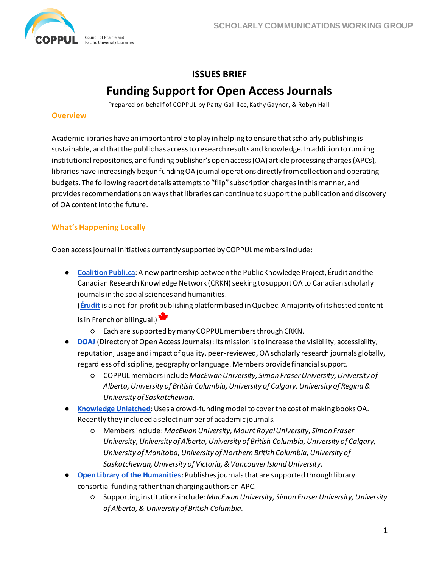

# **ISSUES BRIEF Funding Support for Open Access Journals**

Prepared on behalf of COPPUL by Patty Gallilee, Kathy Gaynor, & Robyn Hall

## **Overview**

Academic libraries have an important role to play in helping to ensure that scholarly publishing is sustainable, and that the public has access to research results and knowledge. In addition to running institutional repositories, and funding publisher's open access (OA) article processing charges (APCs), libraries have increasingly begun funding OA journal operations directly from collection and operating budgets. The following report details attempts to "flip" subscription charges in this manner, and provides recommendations on ways that libraries can continue to support the publication and discovery of OA content into the future.

# **What's Happening Locally**

Open access journal initiatives currently supported by COPPUL members include:

● **[Coalition Publi.ca](https://www.coalition-publi.ca/)**: A new partnership between the Public Knowledge Project, Érudit and the Canadian Research Knowledge Network (CRKN) seeking to support OA to Canadian scholarly journals in the social sciences and humanities.

(**[Érudit](https://www.erudit.org/en)** is a not-for-profit publishing platform based in Quebec. A majority of its hosted content is in French or bilingual.)

- Each are supported by many COPPUL members through CRKN.
- **[DOAJ](https://doaj.org/about)** (Directory of Open Access Journals): Its mission is to increase the visibility, accessibility, reputation, usage and impact of quality, peer-reviewed, OA scholarly research journals globally, regardless of discipline, geography or language. Members provide financial support.
	- COPPUL members include *MacEwan University, Simon Fraser University, University of Alberta, University of British Columbia, University of Calgary, University of Regina & University of Saskatchewan*.
- **[Knowledge Unlatched](http://www.knowledgeunlatched.org/)**: Uses a crowd-funding model to cover the cost of making books OA. Recently they included a select number of academic journals.
	- Members include: *MacEwan University, Mount Royal University, Simon Fraser University, University of Alberta, University of British Columbia, University of Calgary, University of Manitoba, University of Northern British Columbia, University of Saskatchewan, University of Victoria, & Vancouver Island University.*
- **[Open Library of the Humanities](https://www.openlibhums.org/)**: Publishes journals that are supported through library consortial funding rather than charging authors an APC.
	- Supporting institutions include: *MacEwan University, Simon Fraser University, University of Alberta, & University of British Columbia.*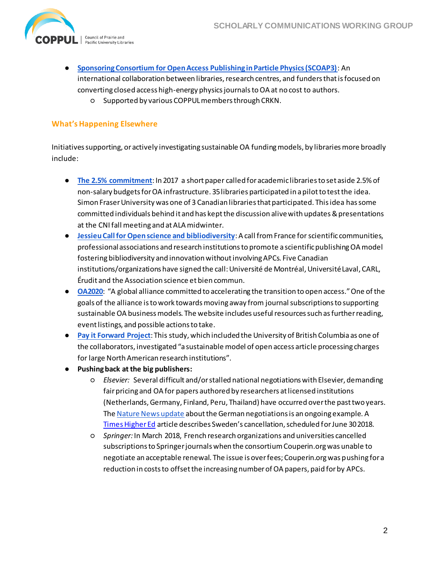

- **[Sponsoring Consortium for Open Access Publishing in Particle Physics \(SCOAP3\)](https://scoap3.org/)**: An international collaboration between libraries, research centres, and funders that is focused on converting closed access high-energy physics journals to OA at no cost to authors.
	- Supported by various COPPUL members through CRKN.

# **What's Happening Elsewhere**

Initiatives supporting, or actively investigating sustainable OA funding models, by libraries more broadly include:

- **[The 2.5% commitment](https://scholarworks.iupui.edu/handle/1805/14063)**: In 2017 a short paper called for academic libraries to set aside 2.5% of non-salary budgets for OA infrastructure. 35 libraries participated in a pilot to test the idea. Simon Fraser University was one of 3 Canadian libraries that participated. This idea has some committed individuals behind it and has kept the discussion alive with updates & presentations at the CNI fall meeting and at ALA midwinter.
- **• [Jessieu Call for Open science and bibliodiversity](http://jussieucall.org/):** A call from France for scientific communities, professional associations and research institutions to promote a scientific publishing OAmodel fostering bibliodiversity and innovation without involving APCs. Five Canadian institutions/organizations have signed the call: Université de Montréal, Université Laval, CARL, Érudit and the Association science et bien commun.
- **[OA2020](https://oa2020.org/)**: "A global alliance committed to accelerating the transition to open access." One of the goals of the alliance is to work towards moving away from journal subscriptions to supporting sustainable OA business models. The website includes useful resources such as further reading, event listings, and possible actions to take.
- **[Pay it Forward Project](http://icis.ucdavis.edu/wp-content/uploads/2016/07/UC-Pay-It-Forward-Final-Report.rev_.7.18.16.pdf)**: This study, which included the University of British Columbia as one of the collaborators, investigated "a sustainable model of open access article processing charges for large North American research institutions".
- **Pushing back at the big publishers:**
	- *Elsevier:* Several difficult and/or stalled national negotiations with Elsevier, demanding fair pricing and OA for papers authored by researchers at licensed institutions (Netherlands, Germany, Finland, Peru, Thailand) have occurred over the past two years. Th[e Nature News update](https://www.nature.com/articles/d41586-018-00093-7) about the German negotiations is an ongoing example. A [Times Higher Ed](https://www.timeshighereducation.com/news/sweden-cancels-elsevier-contract-open-access-dispute-spreads) article describes Sweden's cancellation, scheduled for June 30 2018.
	- *Springer:*In March 2018, French research organizations and universities cancelled subscriptions to Springer journals when the consortium Couperin.org was unable to negotiate an acceptable renewal. The issue is over fees; Couperin.org was pushing for a reduction in costs to offset the increasing number of OA papers, paid for by APCs.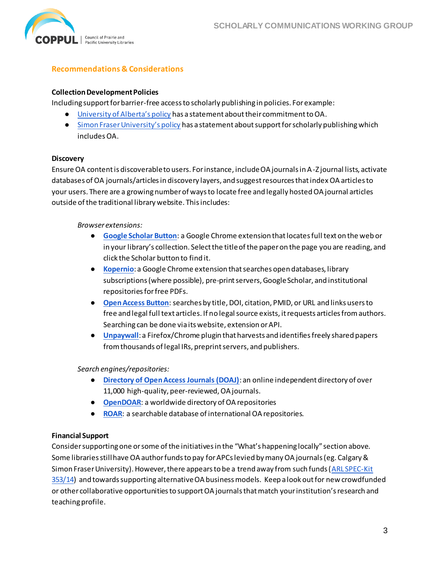

# **Recommendations & Considerations**

#### **Collection Development Policies**

Including support for barrier-free access to scholarly publishing in policies. For example:

- [University of Alberta's policy](https://www.library.ualberta.ca/about-us/collection/collection-policy) has a statement about their commitment to OA.
- [Simon Fraser University's policy](https://www.lib.sfu.ca/about/overview/collections/policies#5-support-for-scholarly-publishing) has a statement about support for scholarly publishing which includes OA.

#### **Discovery**

Ensure OA content is discoverable to users. For instance, include OA journals in A-Z journal lists, activate databases of OA journals/articles in discovery layers, and suggest resources that index OA articles to your users. There are a growing number of ways to locate free and legally hosted OA journal articles outside of the traditional library website. This includes:

#### *Browser extensions:*

- **[Google Scholar Button](https://chrome.google.com/webstore/detail/google-scholar-button/ldipcbpaocekfooobnbcddclnhejkcpn?hl=en)**: a Google Chrome extension that locates full text on the web or in your library's collection. Select the title of the paper on the page you are reading, and click the Scholar button to find it.
- **[Kopernio](https://kopernio.com/)**: a Google Chrome extension that searches open databases, library subscriptions (where possible), pre-print servers, Google Scholar, and institutional repositories for free PDFs.
- **[Open Access Button](https://openaccessbutton.org/)**: searches by title, DOI, citation, PMID, or URL and links users to free and legal full text articles. If no legal source exists, it requests articles from authors. Searching can be done via its website, extension or API.
- **[Unpaywall](https://unpaywall.org/)**: a Firefox/Chrome plugin that harvests and identifies freely shared papers from thousands of legal IRs, preprint servers, and publishers.

## *Search engines/repositories:*

- **[Directory of Open Access Journals \(DOAJ\)](https://doaj.org/)**: an online independent directory of over 11,000 high-quality, peer-reviewed, OA journals.
- **[OpenDOAR](http://www.opendoar.org/)**: a worldwide directory of OA repositories
- **[ROAR](http://roar.eprints.org/)**: a searchable database of international OA repositories.

## **Financial Support**

Consider supporting one or some of the initiatives in the "What's happening locally" section above. Some libraries still have OA author funds to pay for APCs levied by many OA journals (eg. Calgary & Simon Fraser University). However, there appears to be a trend away from such funds (ARL SPEC-Kit [353/14\)](https://publications.arl.org/Funding-Article-Processing-Charges-SPEC-Kit-353/14) and towards supporting alternative OA business models. Keep a look out for new crowdfunded or other collaborative opportunities to support OA journals that match your institution's research and teaching profile.